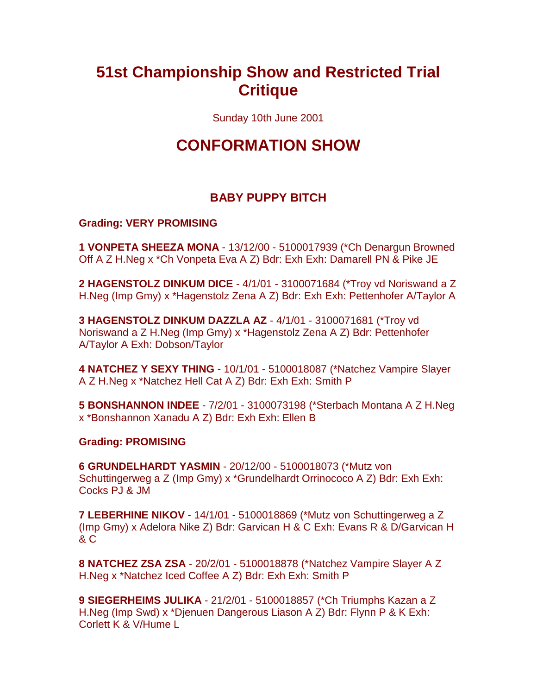# **51st Championship Show and Restricted Trial Critique**

Sunday 10th June 2001

# **CONFORMATION SHOW**

# **BABY PUPPY BITCH**

#### **Grading: VERY PROMISING**

**1 VONPETA SHEEZA MONA** - 13/12/00 - 5100017939 (\*Ch Denargun Browned Off A Z H.Neg x \*Ch Vonpeta Eva A Z) Bdr: Exh Exh: Damarell PN & Pike JE

**2 HAGENSTOLZ DINKUM DICE** - 4/1/01 - 3100071684 (\*Troy vd Noriswand a Z H.Neg (Imp Gmy) x \*Hagenstolz Zena A Z) Bdr: Exh Exh: Pettenhofer A/Taylor A

**3 HAGENSTOLZ DINKUM DAZZLA AZ** - 4/1/01 - 3100071681 (\*Troy vd Noriswand a Z H.Neg (Imp Gmy) x \*Hagenstolz Zena A Z) Bdr: Pettenhofer A/Taylor A Exh: Dobson/Taylor

**4 NATCHEZ Y SEXY THING** - 10/1/01 - 5100018087 (\*Natchez Vampire Slayer A Z H.Neg x \*Natchez Hell Cat A Z) Bdr: Exh Exh: Smith P

**5 BONSHANNON INDEE** - 7/2/01 - 3100073198 (\*Sterbach Montana A Z H.Neg x \*Bonshannon Xanadu A Z) Bdr: Exh Exh: Ellen B

## **Grading: PROMISING**

**6 GRUNDELHARDT YASMIN** - 20/12/00 - 5100018073 (\*Mutz von Schuttingerweg a Z (Imp Gmy) x \*Grundelhardt Orrinococo A Z) Bdr: Exh Exh: Cocks PJ & JM

**7 LEBERHINE NIKOV** - 14/1/01 - 5100018869 (\*Mutz von Schuttingerweg a Z (Imp Gmy) x Adelora Nike Z) Bdr: Garvican H & C Exh: Evans R & D/Garvican H & C

**8 NATCHEZ ZSA ZSA** - 20/2/01 - 5100018878 (\*Natchez Vampire Slayer A Z H.Neg x \*Natchez Iced Coffee A Z) Bdr: Exh Exh: Smith P

**9 SIEGERHEIMS JULIKA** - 21/2/01 - 5100018857 (\*Ch Triumphs Kazan a Z H.Neg (Imp Swd) x \*Djenuen Dangerous Liason A Z) Bdr: Flynn P & K Exh: Corlett K & V/Hume L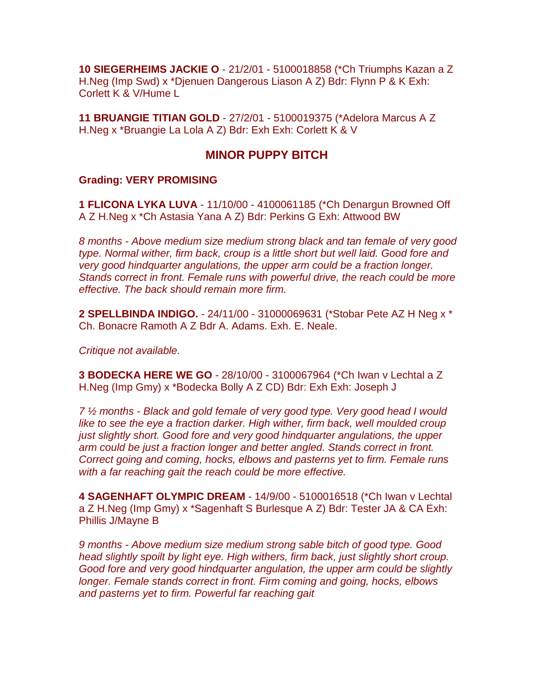**10 SIEGERHEIMS JACKIE O** - 21/2/01 - 5100018858 (\*Ch Triumphs Kazan a Z H.Neg (Imp Swd) x \*Djenuen Dangerous Liason A Z) Bdr: Flynn P & K Exh: Corlett K & V/Hume L

**11 BRUANGIE TITIAN GOLD** - 27/2/01 - 5100019375 (\*Adelora Marcus A Z H.Neg x \*Bruangie La Lola A Z) Bdr: Exh Exh: Corlett K & V

## **MINOR PUPPY BITCH**

#### **Grading: VERY PROMISING**

**1 FLICONA LYKA LUVA** - 11/10/00 - 4100061185 (\*Ch Denargun Browned Off A Z H.Neg x \*Ch Astasia Yana A Z) Bdr: Perkins G Exh: Attwood BW

*8 months - Above medium size medium strong black and tan female of very good type. Normal wither, firm back, croup is a little short but well laid. Good fore and very good hindquarter angulations, the upper arm could be a fraction longer. Stands correct in front. Female runs with powerful drive, the reach could be more effective. The back should remain more firm.*

**2 SPELLBINDA INDIGO.** - 24/11/00 - 31000069631 (\*Stobar Pete AZ H Neg x \* Ch. Bonacre Ramoth A Z Bdr A. Adams. Exh. E. Neale.

*Critique not available.*

**3 BODECKA HERE WE GO** - 28/10/00 - 3100067964 (\*Ch Iwan v Lechtal a Z H.Neg (Imp Gmy) x \*Bodecka Bolly A Z CD) Bdr: Exh Exh: Joseph J

*7 ½ months - Black and gold female of very good type. Very good head I would*  like to see the eye a fraction darker. High wither, firm back, well moulded croup *just slightly short. Good fore and very good hindquarter angulations, the upper arm could be just a fraction longer and better angled. Stands correct in front. Correct going and coming, hocks, elbows and pasterns yet to firm. Female runs with a far reaching gait the reach could be more effective.*

**4 SAGENHAFT OLYMPIC DREAM** - 14/9/00 - 5100016518 (\*Ch Iwan v Lechtal a Z H.Neg (Imp Gmy) x \*Sagenhaft S Burlesque A Z) Bdr: Tester JA & CA Exh: Phillis J/Mayne B

*9 months - Above medium size medium strong sable bitch of good type. Good head slightly spoilt by light eye. High withers, firm back, just slightly short croup. Good fore and very good hindquarter angulation, the upper arm could be slightly longer. Female stands correct in front. Firm coming and going, hocks, elbows and pasterns yet to firm. Powerful far reaching gait*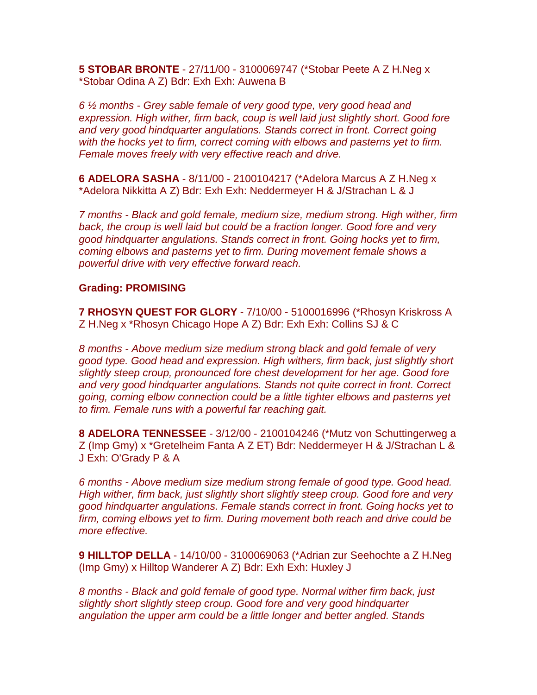**5 STOBAR BRONTE** - 27/11/00 - 3100069747 (\*Stobar Peete A Z H.Neg x \*Stobar Odina A Z) Bdr: Exh Exh: Auwena B

*6 ½ months - Grey sable female of very good type, very good head and expression. High wither, firm back, coup is well laid just slightly short. Good fore and very good hindquarter angulations. Stands correct in front. Correct going with the hocks yet to firm, correct coming with elbows and pasterns yet to firm. Female moves freely with very effective reach and drive.*

**6 ADELORA SASHA** - 8/11/00 - 2100104217 (\*Adelora Marcus A Z H.Neg x \*Adelora Nikkitta A Z) Bdr: Exh Exh: Neddermeyer H & J/Strachan L & J

*7 months - Black and gold female, medium size, medium strong. High wither, firm back, the croup is well laid but could be a fraction longer. Good fore and very good hindquarter angulations. Stands correct in front. Going hocks yet to firm, coming elbows and pasterns yet to firm. During movement female shows a powerful drive with very effective forward reach.*

#### **Grading: PROMISING**

**7 RHOSYN QUEST FOR GLORY** - 7/10/00 - 5100016996 (\*Rhosyn Kriskross A Z H.Neg x \*Rhosyn Chicago Hope A Z) Bdr: Exh Exh: Collins SJ & C

*8 months - Above medium size medium strong black and gold female of very good type. Good head and expression. High withers, firm back, just slightly short slightly steep croup, pronounced fore chest development for her age. Good fore and very good hindquarter angulations. Stands not quite correct in front. Correct going, coming elbow connection could be a little tighter elbows and pasterns yet to firm. Female runs with a powerful far reaching gait.*

**8 ADELORA TENNESSEE** - 3/12/00 - 2100104246 (\*Mutz von Schuttingerweg a Z (Imp Gmy) x \*Gretelheim Fanta A Z ET) Bdr: Neddermeyer H & J/Strachan L & J Exh: O'Grady P & A

*6 months - Above medium size medium strong female of good type. Good head. High wither, firm back, just slightly short slightly steep croup. Good fore and very good hindquarter angulations. Female stands correct in front. Going hocks yet to firm, coming elbows yet to firm. During movement both reach and drive could be more effective.*

**9 HILLTOP DELLA** - 14/10/00 - 3100069063 (\*Adrian zur Seehochte a Z H.Neg (Imp Gmy) x Hilltop Wanderer A Z) Bdr: Exh Exh: Huxley J

*8 months - Black and gold female of good type. Normal wither firm back, just slightly short slightly steep croup. Good fore and very good hindquarter angulation the upper arm could be a little longer and better angled. Stands*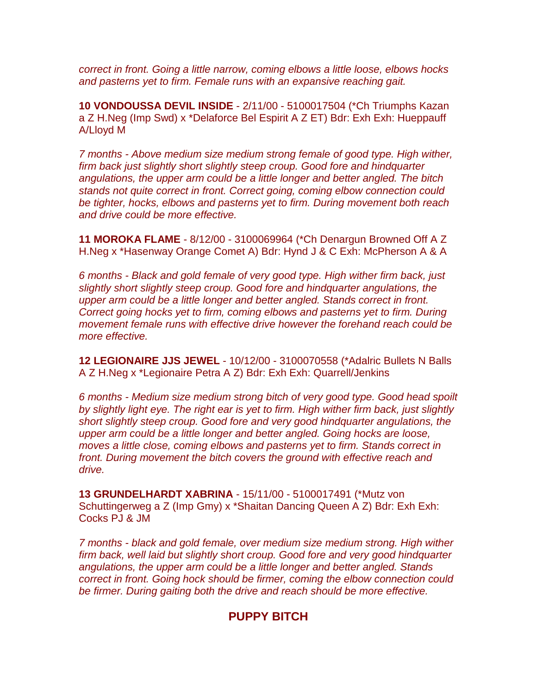*correct in front. Going a little narrow, coming elbows a little loose, elbows hocks and pasterns yet to firm. Female runs with an expansive reaching gait.*

**10 VONDOUSSA DEVIL INSIDE** - 2/11/00 - 5100017504 (\*Ch Triumphs Kazan a Z H.Neg (Imp Swd) x \*Delaforce Bel Espirit A Z ET) Bdr: Exh Exh: Hueppauff A/Lloyd M

*7 months - Above medium size medium strong female of good type. High wither, firm back just slightly short slightly steep croup. Good fore and hindquarter angulations, the upper arm could be a little longer and better angled. The bitch stands not quite correct in front. Correct going, coming elbow connection could be tighter, hocks, elbows and pasterns yet to firm. During movement both reach and drive could be more effective.*

**11 MOROKA FLAME** - 8/12/00 - 3100069964 (\*Ch Denargun Browned Off A Z H.Neg x \*Hasenway Orange Comet A) Bdr: Hynd J & C Exh: McPherson A & A

*6 months - Black and gold female of very good type. High wither firm back, just slightly short slightly steep croup. Good fore and hindquarter angulations, the upper arm could be a little longer and better angled. Stands correct in front. Correct going hocks yet to firm, coming elbows and pasterns yet to firm. During movement female runs with effective drive however the forehand reach could be more effective.*

**12 LEGIONAIRE JJS JEWEL** - 10/12/00 - 3100070558 (\*Adalric Bullets N Balls A Z H.Neg x \*Legionaire Petra A Z) Bdr: Exh Exh: Quarrell/Jenkins

*6 months - Medium size medium strong bitch of very good type. Good head spoilt by slightly light eye. The right ear is yet to firm. High wither firm back, just slightly short slightly steep croup. Good fore and very good hindquarter angulations, the upper arm could be a little longer and better angled. Going hocks are loose, moves a little close, coming elbows and pasterns yet to firm. Stands correct in front. During movement the bitch covers the ground with effective reach and drive.*

**13 GRUNDELHARDT XABRINA** - 15/11/00 - 5100017491 (\*Mutz von Schuttingerweg a Z (Imp Gmy) x \*Shaitan Dancing Queen A Z) Bdr: Exh Exh: Cocks PJ & JM

*7 months - black and gold female, over medium size medium strong. High wither firm back, well laid but slightly short croup. Good fore and very good hindquarter angulations, the upper arm could be a little longer and better angled. Stands correct in front. Going hock should be firmer, coming the elbow connection could be firmer. During gaiting both the drive and reach should be more effective.*

# **PUPPY BITCH**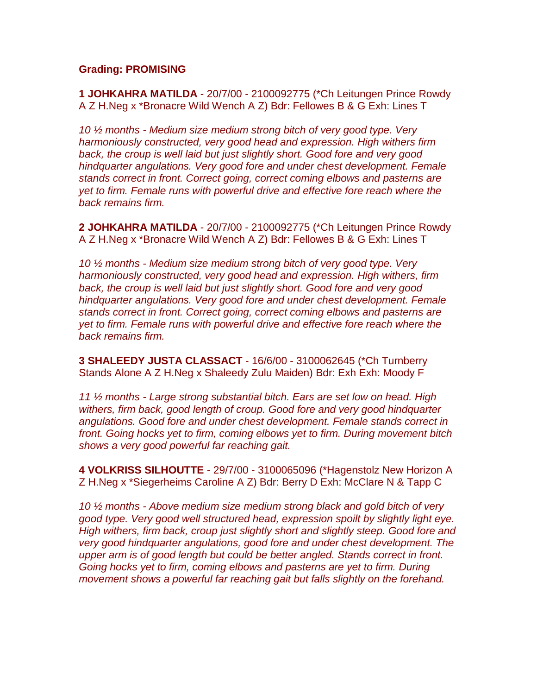#### **Grading: PROMISING**

**1 JOHKAHRA MATILDA** - 20/7/00 - 2100092775 (\*Ch Leitungen Prince Rowdy A Z H.Neg x \*Bronacre Wild Wench A Z) Bdr: Fellowes B & G Exh: Lines T

*10 ½ months - Medium size medium strong bitch of very good type. Very harmoniously constructed, very good head and expression. High withers firm back, the croup is well laid but just slightly short. Good fore and very good hindquarter angulations. Very good fore and under chest development. Female stands correct in front. Correct going, correct coming elbows and pasterns are yet to firm. Female runs with powerful drive and effective fore reach where the back remains firm.*

**2 JOHKAHRA MATILDA** - 20/7/00 - 2100092775 (\*Ch Leitungen Prince Rowdy A Z H.Neg x \*Bronacre Wild Wench A Z) Bdr: Fellowes B & G Exh: Lines T

*10 ½ months - Medium size medium strong bitch of very good type. Very harmoniously constructed, very good head and expression. High withers, firm back, the croup is well laid but just slightly short. Good fore and very good hindquarter angulations. Very good fore and under chest development. Female stands correct in front. Correct going, correct coming elbows and pasterns are yet to firm. Female runs with powerful drive and effective fore reach where the back remains firm.*

**3 SHALEEDY JUSTA CLASSACT** - 16/6/00 - 3100062645 (\*Ch Turnberry Stands Alone A Z H.Neg x Shaleedy Zulu Maiden) Bdr: Exh Exh: Moody F

*11 ½ months - Large strong substantial bitch. Ears are set low on head. High withers, firm back, good length of croup. Good fore and very good hindquarter angulations. Good fore and under chest development. Female stands correct in front. Going hocks yet to firm, coming elbows yet to firm. During movement bitch shows a very good powerful far reaching gait.*

**4 VOLKRISS SILHOUTTE** - 29/7/00 - 3100065096 (\*Hagenstolz New Horizon A Z H.Neg x \*Siegerheims Caroline A Z) Bdr: Berry D Exh: McClare N & Tapp C

*10 ½ months - Above medium size medium strong black and gold bitch of very good type. Very good well structured head, expression spoilt by slightly light eye. High withers, firm back, croup just slightly short and slightly steep. Good fore and very good hindquarter angulations, good fore and under chest development. The upper arm is of good length but could be better angled. Stands correct in front. Going hocks yet to firm, coming elbows and pasterns are yet to firm. During movement shows a powerful far reaching gait but falls slightly on the forehand.*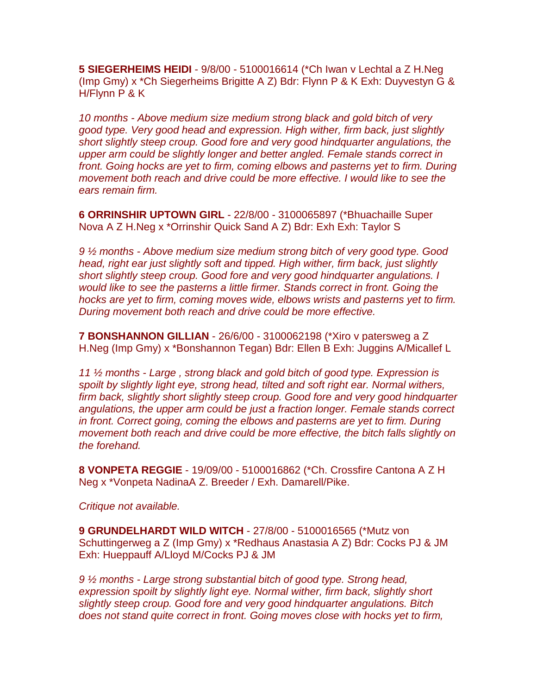**5 SIEGERHEIMS HEIDI** - 9/8/00 - 5100016614 (\*Ch Iwan v Lechtal a Z H.Neg (Imp Gmy) x \*Ch Siegerheims Brigitte A Z) Bdr: Flynn P & K Exh: Duyvestyn G & H/Flynn P & K

*10 months - Above medium size medium strong black and gold bitch of very good type. Very good head and expression. High wither, firm back, just slightly short slightly steep croup. Good fore and very good hindquarter angulations, the upper arm could be slightly longer and better angled. Female stands correct in front. Going hocks are yet to firm, coming elbows and pasterns yet to firm. During movement both reach and drive could be more effective. I would like to see the ears remain firm.*

**6 ORRINSHIR UPTOWN GIRL** - 22/8/00 - 3100065897 (\*Bhuachaille Super Nova A Z H.Neg x \*Orrinshir Quick Sand A Z) Bdr: Exh Exh: Taylor S

*9 ½ months - Above medium size medium strong bitch of very good type. Good head, right ear just slightly soft and tipped. High wither, firm back, just slightly short slightly steep croup. Good fore and very good hindquarter angulations. I would like to see the pasterns a little firmer. Stands correct in front. Going the hocks are yet to firm, coming moves wide, elbows wrists and pasterns yet to firm. During movement both reach and drive could be more effective.*

**7 BONSHANNON GILLIAN** - 26/6/00 - 3100062198 (\*Xiro v patersweg a Z H.Neg (Imp Gmy) x \*Bonshannon Tegan) Bdr: Ellen B Exh: Juggins A/Micallef L

*11 ½ months - Large , strong black and gold bitch of good type. Expression is spoilt by slightly light eye, strong head, tilted and soft right ear. Normal withers, firm back, slightly short slightly steep croup. Good fore and very good hindquarter angulations, the upper arm could be just a fraction longer. Female stands correct in front. Correct going, coming the elbows and pasterns are yet to firm. During movement both reach and drive could be more effective, the bitch falls slightly on the forehand.*

**8 VONPETA REGGIE** - 19/09/00 - 5100016862 (\*Ch. Crossfire Cantona A Z H Neg x \*Vonpeta NadinaA Z. Breeder / Exh. Damarell/Pike.

*Critique not available.*

**9 GRUNDELHARDT WILD WITCH** - 27/8/00 - 5100016565 (\*Mutz von Schuttingerweg a Z (Imp Gmy) x \*Redhaus Anastasia A Z) Bdr: Cocks PJ & JM Exh: Hueppauff A/Lloyd M/Cocks PJ & JM

*9 ½ months - Large strong substantial bitch of good type. Strong head, expression spoilt by slightly light eye. Normal wither, firm back, slightly short slightly steep croup. Good fore and very good hindquarter angulations. Bitch does not stand quite correct in front. Going moves close with hocks yet to firm,*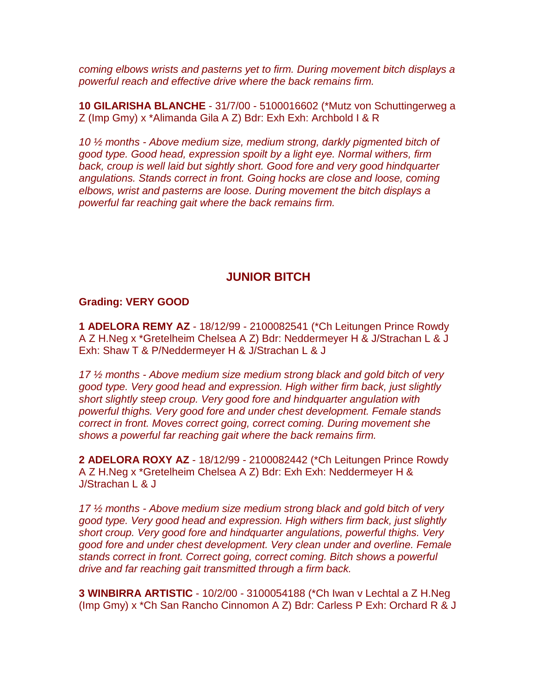*coming elbows wrists and pasterns yet to firm. During movement bitch displays a powerful reach and effective drive where the back remains firm.*

**10 GILARISHA BLANCHE** - 31/7/00 - 5100016602 (\*Mutz von Schuttingerweg a Z (Imp Gmy) x \*Alimanda Gila A Z) Bdr: Exh Exh: Archbold I & R

*10 ½ months - Above medium size, medium strong, darkly pigmented bitch of good type. Good head, expression spoilt by a light eye. Normal withers, firm*  back, croup is well laid but sightly short. Good fore and very good hindquarter *angulations. Stands correct in front. Going hocks are close and loose, coming elbows, wrist and pasterns are loose. During movement the bitch displays a powerful far reaching gait where the back remains firm.*

# **JUNIOR BITCH**

#### **Grading: VERY GOOD**

**1 ADELORA REMY AZ** - 18/12/99 - 2100082541 (\*Ch Leitungen Prince Rowdy A Z H.Neg x \*Gretelheim Chelsea A Z) Bdr: Neddermeyer H & J/Strachan L & J Exh: Shaw T & P/Neddermeyer H & J/Strachan L & J

*17 ½ months - Above medium size medium strong black and gold bitch of very good type. Very good head and expression. High wither firm back, just slightly short slightly steep croup. Very good fore and hindquarter angulation with powerful thighs. Very good fore and under chest development. Female stands correct in front. Moves correct going, correct coming. During movement she shows a powerful far reaching gait where the back remains firm.*

**2 ADELORA ROXY AZ** - 18/12/99 - 2100082442 (\*Ch Leitungen Prince Rowdy A Z H.Neg x \*Gretelheim Chelsea A Z) Bdr: Exh Exh: Neddermeyer H & J/Strachan L & J

*17 ½ months - Above medium size medium strong black and gold bitch of very good type. Very good head and expression. High withers firm back, just slightly short croup. Very good fore and hindquarter angulations, powerful thighs. Very good fore and under chest development. Very clean under and overline. Female stands correct in front. Correct going, correct coming. Bitch shows a powerful drive and far reaching gait transmitted through a firm back.*

**3 WINBIRRA ARTISTIC** - 10/2/00 - 3100054188 (\*Ch Iwan v Lechtal a Z H.Neg (Imp Gmy) x \*Ch San Rancho Cinnomon A Z) Bdr: Carless P Exh: Orchard R & J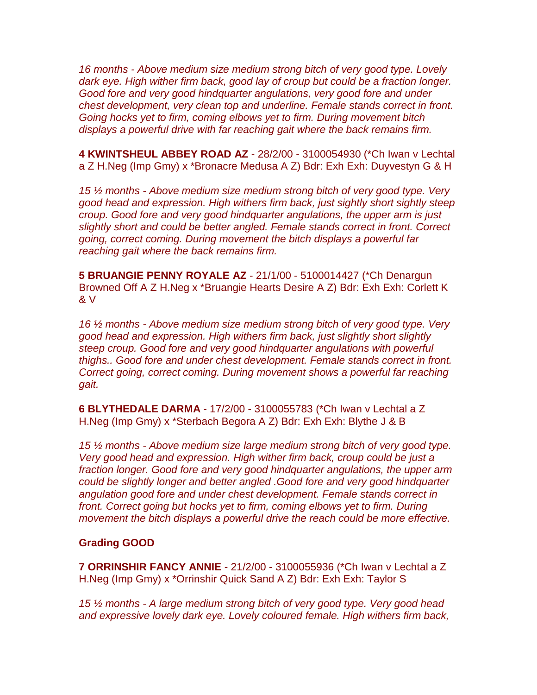*16 months - Above medium size medium strong bitch of very good type. Lovely dark eye. High wither firm back, good lay of croup but could be a fraction longer. Good fore and very good hindquarter angulations, very good fore and under chest development, very clean top and underline. Female stands correct in front. Going hocks yet to firm, coming elbows yet to firm. During movement bitch displays a powerful drive with far reaching gait where the back remains firm.*

**4 KWINTSHEUL ABBEY ROAD AZ** - 28/2/00 - 3100054930 (\*Ch Iwan v Lechtal a Z H.Neg (Imp Gmy) x \*Bronacre Medusa A Z) Bdr: Exh Exh: Duyvestyn G & H

*15 ½ months - Above medium size medium strong bitch of very good type. Very good head and expression. High withers firm back, just sightly short sightly steep croup. Good fore and very good hindquarter angulations, the upper arm is just slightly short and could be better angled. Female stands correct in front. Correct going, correct coming. During movement the bitch displays a powerful far reaching gait where the back remains firm.*

**5 BRUANGIE PENNY ROYALE AZ** - 21/1/00 - 5100014427 (\*Ch Denargun Browned Off A Z H.Neg x \*Bruangie Hearts Desire A Z) Bdr: Exh Exh: Corlett K & V

*16 ½ months - Above medium size medium strong bitch of very good type. Very good head and expression. High withers firm back, just slightly short slightly steep croup. Good fore and very good hindquarter angulations with powerful thighs.. Good fore and under chest development. Female stands correct in front. Correct going, correct coming. During movement shows a powerful far reaching gait.*

**6 BLYTHEDALE DARMA** - 17/2/00 - 3100055783 (\*Ch Iwan v Lechtal a Z H.Neg (Imp Gmy) x \*Sterbach Begora A Z) Bdr: Exh Exh: Blythe J & B

*15 ½ months - Above medium size large medium strong bitch of very good type. Very good head and expression. High wither firm back, croup could be just a fraction longer. Good fore and very good hindquarter angulations, the upper arm could be slightly longer and better angled .Good fore and very good hindquarter angulation good fore and under chest development. Female stands correct in front. Correct going but hocks yet to firm, coming elbows yet to firm. During movement the bitch displays a powerful drive the reach could be more effective.*

#### **Grading GOOD**

**7 ORRINSHIR FANCY ANNIE** - 21/2/00 - 3100055936 (\*Ch Iwan v Lechtal a Z H.Neg (Imp Gmy) x \*Orrinshir Quick Sand A Z) Bdr: Exh Exh: Taylor S

*15 ½ months - A large medium strong bitch of very good type. Very good head and expressive lovely dark eye. Lovely coloured female. High withers firm back,*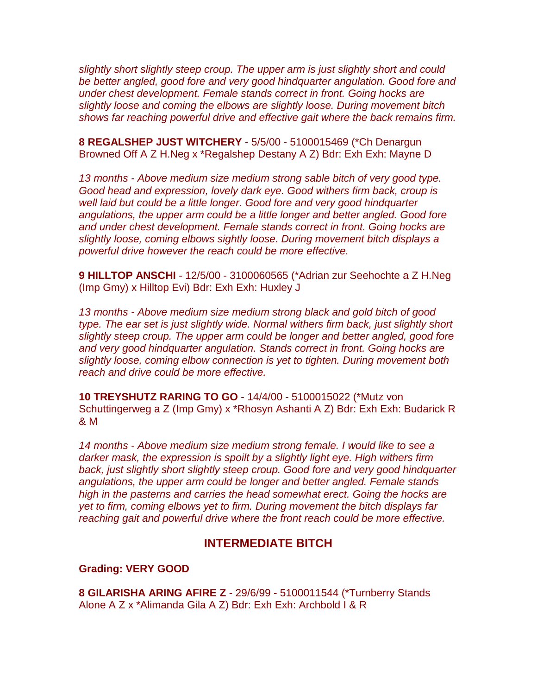*slightly short slightly steep croup. The upper arm is just slightly short and could be better angled, good fore and very good hindquarter angulation. Good fore and under chest development. Female stands correct in front. Going hocks are slightly loose and coming the elbows are slightly loose. During movement bitch shows far reaching powerful drive and effective gait where the back remains firm.*

**8 REGALSHEP JUST WITCHERY** - 5/5/00 - 5100015469 (\*Ch Denargun Browned Off A Z H.Neg x \*Regalshep Destany A Z) Bdr: Exh Exh: Mayne D

*13 months - Above medium size medium strong sable bitch of very good type. Good head and expression, lovely dark eye. Good withers firm back, croup is well laid but could be a little longer. Good fore and very good hindquarter angulations, the upper arm could be a little longer and better angled. Good fore and under chest development. Female stands correct in front. Going hocks are slightly loose, coming elbows sightly loose. During movement bitch displays a powerful drive however the reach could be more effective.*

**9 HILLTOP ANSCHI** - 12/5/00 - 3100060565 (\*Adrian zur Seehochte a Z H.Neg (Imp Gmy) x Hilltop Evi) Bdr: Exh Exh: Huxley J

*13 months - Above medium size medium strong black and gold bitch of good type. The ear set is just slightly wide. Normal withers firm back, just slightly short slightly steep croup. The upper arm could be longer and better angled, good fore and very good hindquarter angulation. Stands correct in front. Going hocks are slightly loose, coming elbow connection is yet to tighten. During movement both reach and drive could be more effective.*

**10 TREYSHUTZ RARING TO GO** - 14/4/00 - 5100015022 (\*Mutz von Schuttingerweg a Z (Imp Gmy) x \*Rhosyn Ashanti A Z) Bdr: Exh Exh: Budarick R & M

*14 months - Above medium size medium strong female. I would like to see a darker mask, the expression is spoilt by a slightly light eye. High withers firm back, just slightly short slightly steep croup. Good fore and very good hindquarter angulations, the upper arm could be longer and better angled. Female stands high in the pasterns and carries the head somewhat erect. Going the hocks are yet to firm, coming elbows yet to firm. During movement the bitch displays far reaching gait and powerful drive where the front reach could be more effective.*

## **INTERMEDIATE BITCH**

#### **Grading: VERY GOOD**

**8 GILARISHA ARING AFIRE Z** - 29/6/99 - 5100011544 (\*Turnberry Stands Alone A Z x \*Alimanda Gila A Z) Bdr: Exh Exh: Archbold I & R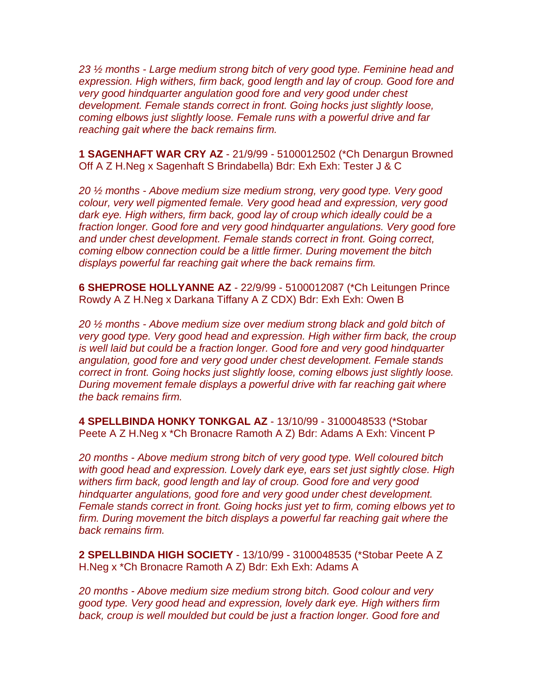*23 ½ months - Large medium strong bitch of very good type. Feminine head and expression. High withers, firm back, good length and lay of croup. Good fore and very good hindquarter angulation good fore and very good under chest development. Female stands correct in front. Going hocks just slightly loose, coming elbows just slightly loose. Female runs with a powerful drive and far reaching gait where the back remains firm.*

**1 SAGENHAFT WAR CRY AZ** - 21/9/99 - 5100012502 (\*Ch Denargun Browned Off A Z H.Neg x Sagenhaft S Brindabella) Bdr: Exh Exh: Tester J & C

*20 ½ months - Above medium size medium strong, very good type. Very good colour, very well pigmented female. Very good head and expression, very good dark eye. High withers, firm back, good lay of croup which ideally could be a fraction longer. Good fore and very good hindquarter angulations. Very good fore and under chest development. Female stands correct in front. Going correct, coming elbow connection could be a little firmer. During movement the bitch displays powerful far reaching gait where the back remains firm.*

**6 SHEPROSE HOLLYANNE AZ** - 22/9/99 - 5100012087 (\*Ch Leitungen Prince Rowdy A Z H.Neg x Darkana Tiffany A Z CDX) Bdr: Exh Exh: Owen B

*20 ½ months - Above medium size over medium strong black and gold bitch of very good type. Very good head and expression. High wither firm back, the croup is well laid but could be a fraction longer. Good fore and very good hindquarter angulation, good fore and very good under chest development. Female stands correct in front. Going hocks just slightly loose, coming elbows just slightly loose. During movement female displays a powerful drive with far reaching gait where the back remains firm.*

**4 SPELLBINDA HONKY TONKGAL AZ** - 13/10/99 - 3100048533 (\*Stobar Peete A Z H.Neg x \*Ch Bronacre Ramoth A Z) Bdr: Adams A Exh: Vincent P

*20 months - Above medium strong bitch of very good type. Well coloured bitch with good head and expression. Lovely dark eye, ears set just sightly close. High withers firm back, good length and lay of croup. Good fore and very good hindquarter angulations, good fore and very good under chest development. Female stands correct in front. Going hocks just yet to firm, coming elbows yet to firm. During movement the bitch displays a powerful far reaching gait where the back remains firm.*

**2 SPELLBINDA HIGH SOCIETY** - 13/10/99 - 3100048535 (\*Stobar Peete A Z H.Neg x \*Ch Bronacre Ramoth A Z) Bdr: Exh Exh: Adams A

*20 months - Above medium size medium strong bitch. Good colour and very good type. Very good head and expression, lovely dark eye. High withers firm*  back, croup is well moulded but could be just a fraction longer. Good fore and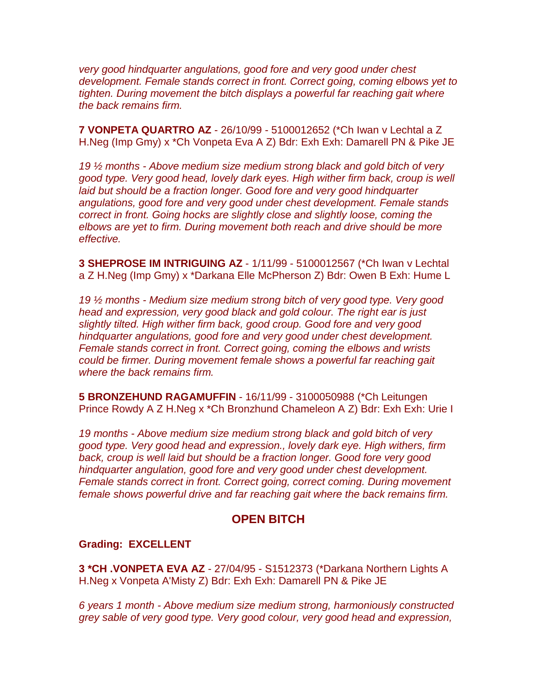*very good hindquarter angulations, good fore and very good under chest development. Female stands correct in front. Correct going, coming elbows yet to tighten. During movement the bitch displays a powerful far reaching gait where the back remains firm.*

**7 VONPETA QUARTRO AZ** - 26/10/99 - 5100012652 (\*Ch Iwan v Lechtal a Z H.Neg (Imp Gmy) x \*Ch Vonpeta Eva A Z) Bdr: Exh Exh: Damarell PN & Pike JE

*19 ½ months - Above medium size medium strong black and gold bitch of very good type. Very good head, lovely dark eyes. High wither firm back, croup is well laid but should be a fraction longer. Good fore and very good hindquarter angulations, good fore and very good under chest development. Female stands correct in front. Going hocks are slightly close and slightly loose, coming the elbows are yet to firm. During movement both reach and drive should be more effective.*

**3 SHEPROSE IM INTRIGUING AZ** - 1/11/99 - 5100012567 (\*Ch Iwan v Lechtal a Z H.Neg (Imp Gmy) x \*Darkana Elle McPherson Z) Bdr: Owen B Exh: Hume L

*19 ½ months - Medium size medium strong bitch of very good type. Very good head and expression, very good black and gold colour. The right ear is just slightly tilted. High wither firm back, good croup. Good fore and very good hindquarter angulations, good fore and very good under chest development. Female stands correct in front. Correct going, coming the elbows and wrists could be firmer. During movement female shows a powerful far reaching gait where the back remains firm.*

**5 BRONZEHUND RAGAMUFFIN** - 16/11/99 - 3100050988 (\*Ch Leitungen Prince Rowdy A Z H.Neg x \*Ch Bronzhund Chameleon A Z) Bdr: Exh Exh: Urie I

*19 months - Above medium size medium strong black and gold bitch of very good type. Very good head and expression., lovely dark eye. High withers, firm back, croup is well laid but should be a fraction longer. Good fore very good hindquarter angulation, good fore and very good under chest development. Female stands correct in front. Correct going, correct coming. During movement female shows powerful drive and far reaching gait where the back remains firm.*

## **OPEN BITCH**

#### **Grading: EXCELLENT**

**3 \*CH .VONPETA EVA AZ** - 27/04/95 - S1512373 (\*Darkana Northern Lights A H.Neg x Vonpeta A'Misty Z) Bdr: Exh Exh: Damarell PN & Pike JE

*6 years 1 month - Above medium size medium strong, harmoniously constructed grey sable of very good type. Very good colour, very good head and expression,*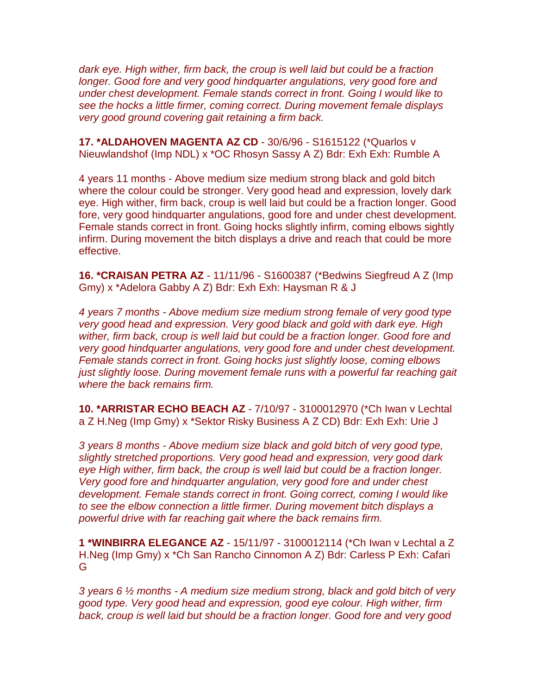*dark eye. High wither, firm back, the croup is well laid but could be a fraction longer. Good fore and very good hindquarter angulations, very good fore and under chest development. Female stands correct in front. Going I would like to see the hocks a little firmer, coming correct. During movement female displays very good ground covering gait retaining a firm back.*

**17. \*ALDAHOVEN MAGENTA AZ CD** - 30/6/96 - S1615122 (\*Quarlos v Nieuwlandshof (Imp NDL) x \*OC Rhosyn Sassy A Z) Bdr: Exh Exh: Rumble A

4 years 11 months - Above medium size medium strong black and gold bitch where the colour could be stronger. Very good head and expression, lovely dark eye. High wither, firm back, croup is well laid but could be a fraction longer. Good fore, very good hindquarter angulations, good fore and under chest development. Female stands correct in front. Going hocks slightly infirm, coming elbows sightly infirm. During movement the bitch displays a drive and reach that could be more effective.

**16. \*CRAISAN PETRA AZ** - 11/11/96 - S1600387 (\*Bedwins Siegfreud A Z (Imp Gmy) x \*Adelora Gabby A Z) Bdr: Exh Exh: Haysman R & J

*4 years 7 months - Above medium size medium strong female of very good type very good head and expression. Very good black and gold with dark eye. High wither, firm back, croup is well laid but could be a fraction longer. Good fore and very good hindquarter angulations, very good fore and under chest development. Female stands correct in front. Going hocks just slightly loose, coming elbows just slightly loose. During movement female runs with a powerful far reaching gait where the back remains firm.*

**10. \*ARRISTAR ECHO BEACH AZ** - 7/10/97 - 3100012970 (\*Ch Iwan v Lechtal a Z H.Neg (Imp Gmy) x \*Sektor Risky Business A Z CD) Bdr: Exh Exh: Urie J

*3 years 8 months - Above medium size black and gold bitch of very good type, slightly stretched proportions. Very good head and expression, very good dark eye High wither, firm back, the croup is well laid but could be a fraction longer. Very good fore and hindquarter angulation, very good fore and under chest development. Female stands correct in front. Going correct, coming I would like to see the elbow connection a little firmer. During movement bitch displays a powerful drive with far reaching gait where the back remains firm.*

**1 \*WINBIRRA ELEGANCE AZ** - 15/11/97 - 3100012114 (\*Ch Iwan v Lechtal a Z H.Neg (Imp Gmy) x \*Ch San Rancho Cinnomon A Z) Bdr: Carless P Exh: Cafari G

*3 years 6 ½ months - A medium size medium strong, black and gold bitch of very good type. Very good head and expression, good eye colour. High wither, firm back, croup is well laid but should be a fraction longer. Good fore and very good*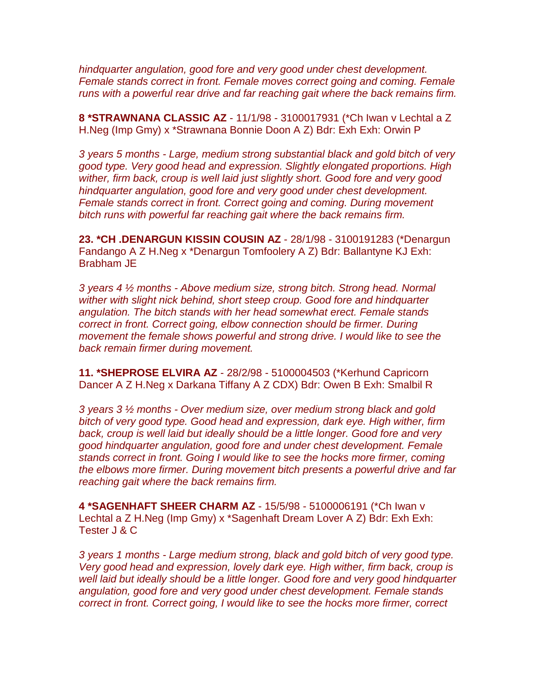*hindquarter angulation, good fore and very good under chest development. Female stands correct in front. Female moves correct going and coming. Female runs with a powerful rear drive and far reaching gait where the back remains firm.*

**8 \*STRAWNANA CLASSIC AZ** - 11/1/98 - 3100017931 (\*Ch Iwan v Lechtal a Z H.Neg (Imp Gmy) x \*Strawnana Bonnie Doon A Z) Bdr: Exh Exh: Orwin P

*3 years 5 months - Large, medium strong substantial black and gold bitch of very good type. Very good head and expression. Slightly elongated proportions. High wither, firm back, croup is well laid just slightly short. Good fore and very good hindquarter angulation, good fore and very good under chest development. Female stands correct in front. Correct going and coming. During movement bitch runs with powerful far reaching gait where the back remains firm.*

**23. \*CH .DENARGUN KISSIN COUSIN AZ** - 28/1/98 - 3100191283 (\*Denargun Fandango A Z H.Neg x \*Denargun Tomfoolery A Z) Bdr: Ballantyne KJ Exh: Brabham JE

*3 years 4 ½ months - Above medium size, strong bitch. Strong head. Normal wither with slight nick behind, short steep croup. Good fore and hindquarter angulation. The bitch stands with her head somewhat erect. Female stands correct in front. Correct going, elbow connection should be firmer. During movement the female shows powerful and strong drive. I would like to see the back remain firmer during movement.*

**11. \*SHEPROSE ELVIRA AZ** - 28/2/98 - 5100004503 (\*Kerhund Capricorn Dancer A Z H.Neg x Darkana Tiffany A Z CDX) Bdr: Owen B Exh: Smalbil R

*3 years 3 ½ months - Over medium size, over medium strong black and gold bitch of very good type. Good head and expression, dark eye. High wither, firm back, croup is well laid but ideally should be a little longer. Good fore and very good hindquarter angulation, good fore and under chest development. Female stands correct in front. Going I would like to see the hocks more firmer, coming the elbows more firmer. During movement bitch presents a powerful drive and far reaching gait where the back remains firm.*

**4 \*SAGENHAFT SHEER CHARM AZ** - 15/5/98 - 5100006191 (\*Ch Iwan v Lechtal a Z H.Neg (Imp Gmy) x \*Sagenhaft Dream Lover A Z) Bdr: Exh Exh: Tester J & C

*3 years 1 months - Large medium strong, black and gold bitch of very good type. Very good head and expression, lovely dark eye. High wither, firm back, croup is well laid but ideally should be a little longer. Good fore and very good hindquarter angulation, good fore and very good under chest development. Female stands correct in front. Correct going, I would like to see the hocks more firmer, correct*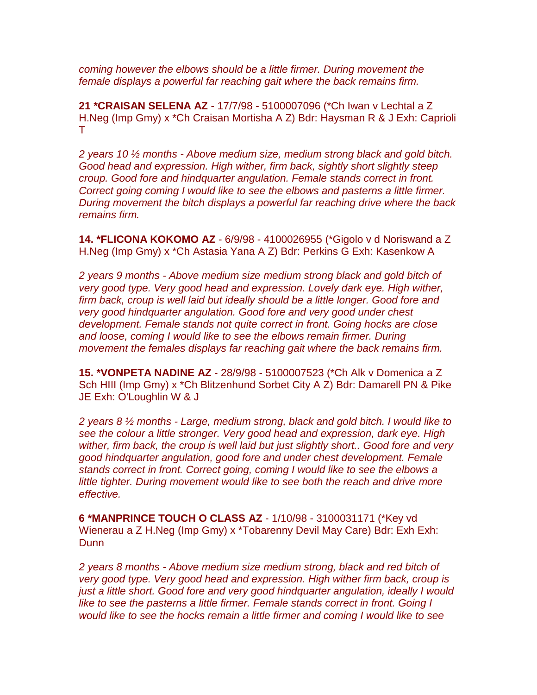*coming however the elbows should be a little firmer. During movement the female displays a powerful far reaching gait where the back remains firm.*

**21 \*CRAISAN SELENA AZ** - 17/7/98 - 5100007096 (\*Ch Iwan v Lechtal a Z H.Neg (Imp Gmy) x \*Ch Craisan Mortisha A Z) Bdr: Haysman R & J Exh: Caprioli T

*2 years 10 ½ months - Above medium size, medium strong black and gold bitch. Good head and expression. High wither, firm back, sightly short slightly steep croup. Good fore and hindquarter angulation. Female stands correct in front. Correct going coming I would like to see the elbows and pasterns a little firmer. During movement the bitch displays a powerful far reaching drive where the back remains firm.*

**14. \*FLICONA KOKOMO AZ** - 6/9/98 - 4100026955 (\*Gigolo v d Noriswand a Z H.Neg (Imp Gmy) x \*Ch Astasia Yana A Z) Bdr: Perkins G Exh: Kasenkow A

*2 years 9 months - Above medium size medium strong black and gold bitch of very good type. Very good head and expression. Lovely dark eye. High wither, firm back, croup is well laid but ideally should be a little longer. Good fore and very good hindquarter angulation. Good fore and very good under chest development. Female stands not quite correct in front. Going hocks are close and loose, coming I would like to see the elbows remain firmer. During movement the females displays far reaching gait where the back remains firm.*

**15. \*VONPETA NADINE AZ** - 28/9/98 - 5100007523 (\*Ch Alk v Domenica a Z Sch HIII (Imp Gmy) x \*Ch Blitzenhund Sorbet City A Z) Bdr: Damarell PN & Pike JE Exh: O'Loughlin W & J

*2 years 8 ½ months - Large, medium strong, black and gold bitch. I would like to see the colour a little stronger. Very good head and expression, dark eye. High wither, firm back, the croup is well laid but just slightly short.. Good fore and very good hindquarter angulation, good fore and under chest development. Female stands correct in front. Correct going, coming I would like to see the elbows a*  little tighter. During movement would like to see both the reach and drive more *effective.*

**6 \*MANPRINCE TOUCH O CLASS AZ** - 1/10/98 - 3100031171 (\*Key vd Wienerau a Z H.Neg (Imp Gmy) x \*Tobarenny Devil May Care) Bdr: Exh Exh: **Dunn** 

*2 years 8 months - Above medium size medium strong, black and red bitch of very good type. Very good head and expression. High wither firm back, croup is just a little short. Good fore and very good hindquarter angulation, ideally I would like to see the pasterns a little firmer. Female stands correct in front. Going I would like to see the hocks remain a little firmer and coming I would like to see*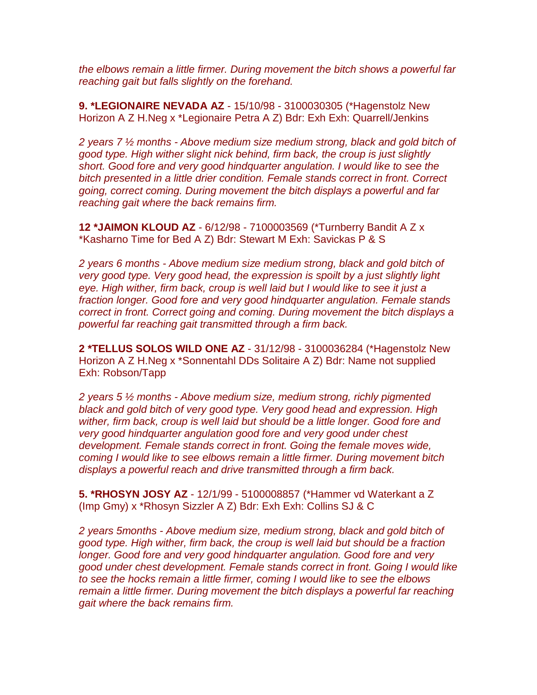*the elbows remain a little firmer. During movement the bitch shows a powerful far reaching gait but falls slightly on the forehand.*

**9. \*LEGIONAIRE NEVADA AZ** - 15/10/98 - 3100030305 (\*Hagenstolz New Horizon A Z H.Neg x \*Legionaire Petra A Z) Bdr: Exh Exh: Quarrell/Jenkins

*2 years 7 ½ months - Above medium size medium strong, black and gold bitch of good type. High wither slight nick behind, firm back, the croup is just slightly short. Good fore and very good hindquarter angulation. I would like to see the bitch presented in a little drier condition. Female stands correct in front. Correct going, correct coming. During movement the bitch displays a powerful and far reaching gait where the back remains firm.*

**12 \*JAIMON KLOUD AZ** - 6/12/98 - 7100003569 (\*Turnberry Bandit A Z x \*Kasharno Time for Bed A Z) Bdr: Stewart M Exh: Savickas P & S

*2 years 6 months - Above medium size medium strong, black and gold bitch of very good type. Very good head, the expression is spoilt by a just slightly light eye. High wither, firm back, croup is well laid but I would like to see it just a fraction longer. Good fore and very good hindquarter angulation. Female stands correct in front. Correct going and coming. During movement the bitch displays a powerful far reaching gait transmitted through a firm back.*

**2 \*TELLUS SOLOS WILD ONE AZ** - 31/12/98 - 3100036284 (\*Hagenstolz New Horizon A Z H.Neg x \*Sonnentahl DDs Solitaire A Z) Bdr: Name not supplied Exh: Robson/Tapp

*2 years 5 ½ months - Above medium size, medium strong, richly pigmented black and gold bitch of very good type. Very good head and expression. High wither, firm back, croup is well laid but should be a little longer. Good fore and very good hindquarter angulation good fore and very good under chest development. Female stands correct in front. Going the female moves wide, coming I would like to see elbows remain a little firmer. During movement bitch displays a powerful reach and drive transmitted through a firm back.*

**5. \*RHOSYN JOSY AZ** - 12/1/99 - 5100008857 (\*Hammer vd Waterkant a Z (Imp Gmy) x \*Rhosyn Sizzler A Z) Bdr: Exh Exh: Collins SJ & C

*2 years 5months - Above medium size, medium strong, black and gold bitch of good type. High wither, firm back, the croup is well laid but should be a fraction longer. Good fore and very good hindquarter angulation. Good fore and very good under chest development. Female stands correct in front. Going I would like to see the hocks remain a little firmer, coming I would like to see the elbows remain a little firmer. During movement the bitch displays a powerful far reaching gait where the back remains firm.*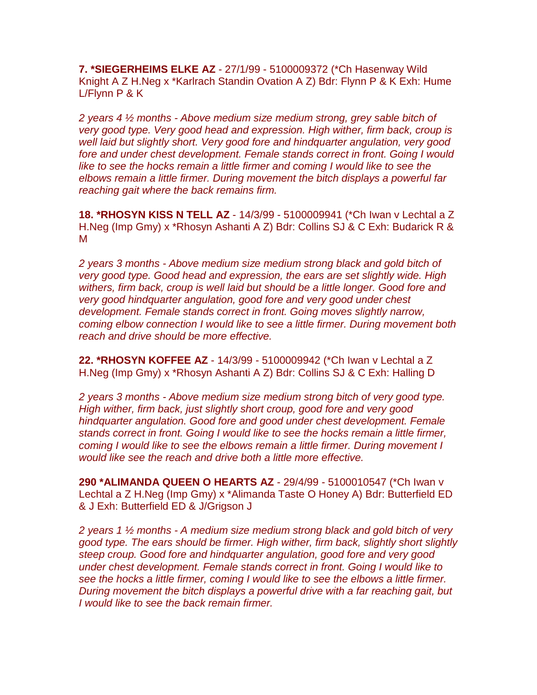**7. \*SIEGERHEIMS ELKE AZ** - 27/1/99 - 5100009372 (\*Ch Hasenway Wild Knight A Z H.Neg x \*Karlrach Standin Ovation A Z) Bdr: Flynn P & K Exh: Hume L/Flynn P & K

*2 years 4 ½ months - Above medium size medium strong, grey sable bitch of very good type. Very good head and expression. High wither, firm back, croup is well laid but slightly short. Very good fore and hindquarter angulation, very good fore and under chest development. Female stands correct in front. Going I would*  like to see the hocks remain a little firmer and coming I would like to see the *elbows remain a little firmer. During movement the bitch displays a powerful far reaching gait where the back remains firm.*

**18. \*RHOSYN KISS N TELL AZ** - 14/3/99 - 5100009941 (\*Ch Iwan v Lechtal a Z H.Neg (Imp Gmy) x \*Rhosyn Ashanti A Z) Bdr: Collins SJ & C Exh: Budarick R & M

*2 years 3 months - Above medium size medium strong black and gold bitch of very good type. Good head and expression, the ears are set slightly wide. High withers, firm back, croup is well laid but should be a little longer. Good fore and very good hindquarter angulation, good fore and very good under chest development. Female stands correct in front. Going moves slightly narrow, coming elbow connection I would like to see a little firmer. During movement both reach and drive should be more effective.*

**22. \*RHOSYN KOFFEE AZ** - 14/3/99 - 5100009942 (\*Ch Iwan v Lechtal a Z H.Neg (Imp Gmy) x \*Rhosyn Ashanti A Z) Bdr: Collins SJ & C Exh: Halling D

*2 years 3 months - Above medium size medium strong bitch of very good type. High wither, firm back, just slightly short croup, good fore and very good hindquarter angulation. Good fore and good under chest development. Female stands correct in front. Going I would like to see the hocks remain a little firmer, coming I would like to see the elbows remain a little firmer. During movement I would like see the reach and drive both a little more effective.*

**290 \*ALIMANDA QUEEN O HEARTS AZ** - 29/4/99 - 5100010547 (\*Ch Iwan v Lechtal a Z H.Neg (Imp Gmy) x \*Alimanda Taste O Honey A) Bdr: Butterfield ED & J Exh: Butterfield ED & J/Grigson J

*2 years 1 ½ months - A medium size medium strong black and gold bitch of very good type. The ears should be firmer. High wither, firm back, slightly short slightly steep croup. Good fore and hindquarter angulation, good fore and very good under chest development. Female stands correct in front. Going I would like to see the hocks a little firmer, coming I would like to see the elbows a little firmer. During movement the bitch displays a powerful drive with a far reaching gait, but I would like to see the back remain firmer.*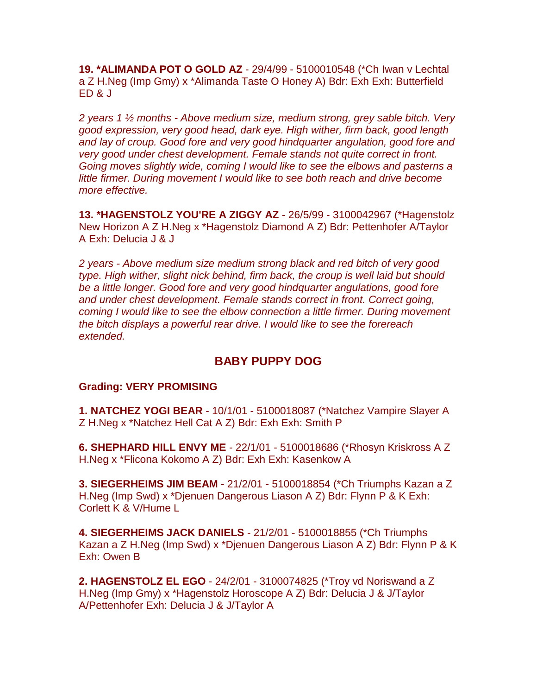**19. \*ALIMANDA POT O GOLD AZ** - 29/4/99 - 5100010548 (\*Ch Iwan v Lechtal a Z H.Neg (Imp Gmy) x \*Alimanda Taste O Honey A) Bdr: Exh Exh: Butterfield ED & J

*2 years 1 ½ months - Above medium size, medium strong, grey sable bitch. Very good expression, very good head, dark eye. High wither, firm back, good length and lay of croup. Good fore and very good hindquarter angulation, good fore and very good under chest development. Female stands not quite correct in front. Going moves slightly wide, coming I would like to see the elbows and pasterns a little firmer. During movement I would like to see both reach and drive become more effective.*

**13. \*HAGENSTOLZ YOU'RE A ZIGGY AZ** - 26/5/99 - 3100042967 (\*Hagenstolz New Horizon A Z H.Neg x \*Hagenstolz Diamond A Z) Bdr: Pettenhofer A/Taylor A Exh: Delucia J & J

*2 years - Above medium size medium strong black and red bitch of very good type. High wither, slight nick behind, firm back, the croup is well laid but should be a little longer. Good fore and very good hindquarter angulations, good fore and under chest development. Female stands correct in front. Correct going, coming I would like to see the elbow connection a little firmer. During movement the bitch displays a powerful rear drive. I would like to see the forereach extended.*

# **BABY PUPPY DOG**

#### **Grading: VERY PROMISING**

**1. NATCHEZ YOGI BEAR** - 10/1/01 - 5100018087 (\*Natchez Vampire Slayer A Z H.Neg x \*Natchez Hell Cat A Z) Bdr: Exh Exh: Smith P

**6. SHEPHARD HILL ENVY ME** - 22/1/01 - 5100018686 (\*Rhosyn Kriskross A Z H.Neg x \*Flicona Kokomo A Z) Bdr: Exh Exh: Kasenkow A

**3. SIEGERHEIMS JIM BEAM** - 21/2/01 - 5100018854 (\*Ch Triumphs Kazan a Z H.Neg (Imp Swd) x \*Djenuen Dangerous Liason A Z) Bdr: Flynn P & K Exh: Corlett K & V/Hume L

**4. SIEGERHEIMS JACK DANIELS** - 21/2/01 - 5100018855 (\*Ch Triumphs Kazan a Z H.Neg (Imp Swd) x \*Djenuen Dangerous Liason A Z) Bdr: Flynn P & K Exh: Owen B

**2. HAGENSTOLZ EL EGO** - 24/2/01 - 3100074825 (\*Troy vd Noriswand a Z H.Neg (Imp Gmy) x \*Hagenstolz Horoscope A Z) Bdr: Delucia J & J/Taylor A/Pettenhofer Exh: Delucia J & J/Taylor A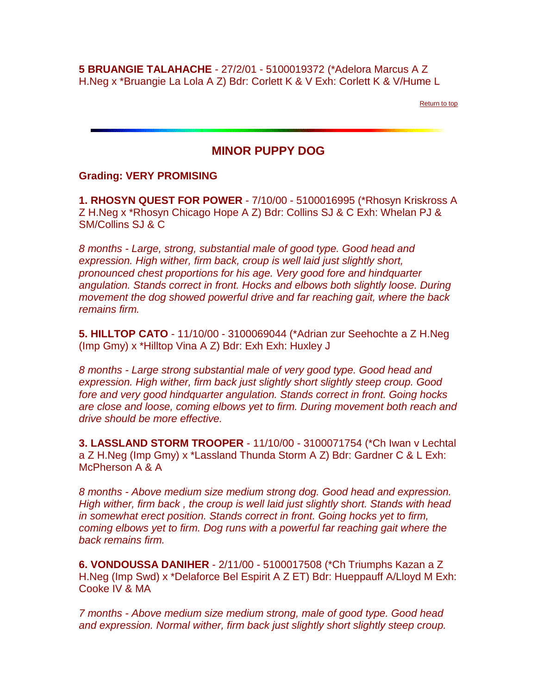**5 BRUANGIE TALAHACHE** - 27/2/01 - 5100019372 (\*Adelora Marcus A Z H.Neg x \*Bruangie La Lola A Z) Bdr: Corlett K & V Exh: Corlett K & V/Hume L

[Return to top](http://www.gsdcsa.org.au/results/critiques51champ.htm#top#top)

# **MINOR PUPPY DOG**

#### **Grading: VERY PROMISING**

**1. RHOSYN QUEST FOR POWER** - 7/10/00 - 5100016995 (\*Rhosyn Kriskross A Z H.Neg x \*Rhosyn Chicago Hope A Z) Bdr: Collins SJ & C Exh: Whelan PJ & SM/Collins SJ & C

*8 months - Large, strong, substantial male of good type. Good head and expression. High wither, firm back, croup is well laid just slightly short, pronounced chest proportions for his age. Very good fore and hindquarter angulation. Stands correct in front. Hocks and elbows both slightly loose. During movement the dog showed powerful drive and far reaching gait, where the back remains firm.*

**5. HILLTOP CATO** - 11/10/00 - 3100069044 (\*Adrian zur Seehochte a Z H.Neg (Imp Gmy) x \*Hilltop Vina A Z) Bdr: Exh Exh: Huxley J

*8 months - Large strong substantial male of very good type. Good head and expression. High wither, firm back just slightly short slightly steep croup. Good fore and very good hindquarter angulation. Stands correct in front. Going hocks are close and loose, coming elbows yet to firm. During movement both reach and drive should be more effective.*

**3. LASSLAND STORM TROOPER** - 11/10/00 - 3100071754 (\*Ch Iwan v Lechtal a Z H.Neg (Imp Gmy) x \*Lassland Thunda Storm A Z) Bdr: Gardner C & L Exh: McPherson A & A

*8 months - Above medium size medium strong dog. Good head and expression. High wither, firm back , the croup is well laid just slightly short. Stands with head in somewhat erect position. Stands correct in front. Going hocks yet to firm, coming elbows yet to firm. Dog runs with a powerful far reaching gait where the back remains firm.*

**6. VONDOUSSA DANIHER** - 2/11/00 - 5100017508 (\*Ch Triumphs Kazan a Z H.Neg (Imp Swd) x \*Delaforce Bel Espirit A Z ET) Bdr: Hueppauff A/Lloyd M Exh: Cooke IV & MA

*7 months - Above medium size medium strong, male of good type. Good head and expression. Normal wither, firm back just slightly short slightly steep croup.*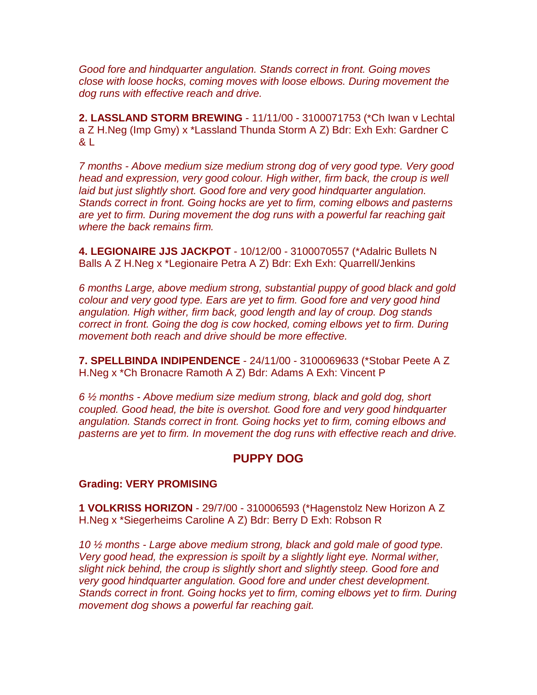*Good fore and hindquarter angulation. Stands correct in front. Going moves close with loose hocks, coming moves with loose elbows. During movement the dog runs with effective reach and drive.*

**2. LASSLAND STORM BREWING** - 11/11/00 - 3100071753 (\*Ch Iwan v Lechtal a Z H.Neg (Imp Gmy) x \*Lassland Thunda Storm A Z) Bdr: Exh Exh: Gardner C  $8<sub>1</sub>$ 

*7 months - Above medium size medium strong dog of very good type. Very good head and expression, very good colour. High wither, firm back, the croup is well laid but just slightly short. Good fore and very good hindquarter angulation. Stands correct in front. Going hocks are yet to firm, coming elbows and pasterns are yet to firm. During movement the dog runs with a powerful far reaching gait where the back remains firm.*

**4. LEGIONAIRE JJS JACKPOT** - 10/12/00 - 3100070557 (\*Adalric Bullets N Balls A Z H.Neg x \*Legionaire Petra A Z) Bdr: Exh Exh: Quarrell/Jenkins

*6 months Large, above medium strong, substantial puppy of good black and gold colour and very good type. Ears are yet to firm. Good fore and very good hind angulation. High wither, firm back, good length and lay of croup. Dog stands correct in front. Going the dog is cow hocked, coming elbows yet to firm. During movement both reach and drive should be more effective.*

**7. SPELLBINDA INDIPENDENCE** - 24/11/00 - 3100069633 (\*Stobar Peete A Z H.Neg x \*Ch Bronacre Ramoth A Z) Bdr: Adams A Exh: Vincent P

*6 ½ months - Above medium size medium strong, black and gold dog, short coupled. Good head, the bite is overshot. Good fore and very good hindquarter angulation. Stands correct in front. Going hocks yet to firm, coming elbows and pasterns are yet to firm. In movement the dog runs with effective reach and drive.*

## **PUPPY DOG**

#### **Grading: VERY PROMISING**

**1 VOLKRISS HORIZON** - 29/7/00 - 310006593 (\*Hagenstolz New Horizon A Z H.Neg x \*Siegerheims Caroline A Z) Bdr: Berry D Exh: Robson R

*10 ½ months - Large above medium strong, black and gold male of good type. Very good head, the expression is spoilt by a slightly light eye. Normal wither, slight nick behind, the croup is slightly short and slightly steep. Good fore and very good hindquarter angulation. Good fore and under chest development. Stands correct in front. Going hocks yet to firm, coming elbows yet to firm. During movement dog shows a powerful far reaching gait.*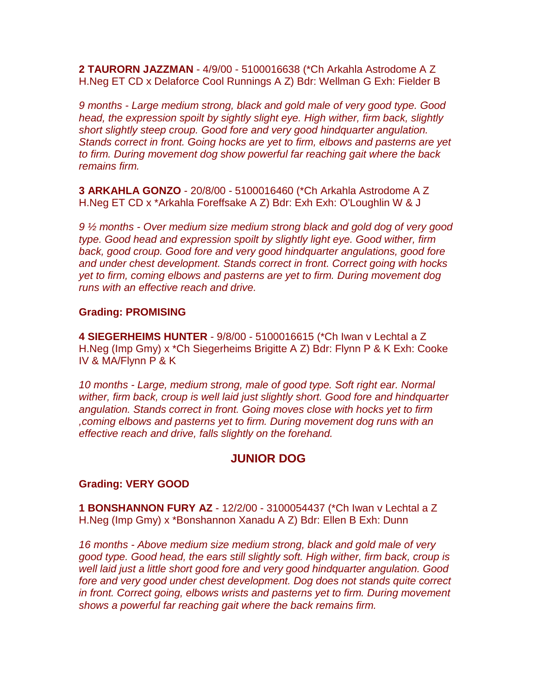**2 TAURORN JAZZMAN** - 4/9/00 - 5100016638 (\*Ch Arkahla Astrodome A Z H.Neg ET CD x Delaforce Cool Runnings A Z) Bdr: Wellman G Exh: Fielder B

*9 months - Large medium strong, black and gold male of very good type. Good head, the expression spoilt by sightly slight eye. High wither, firm back, slightly short slightly steep croup. Good fore and very good hindquarter angulation. Stands correct in front. Going hocks are yet to firm, elbows and pasterns are yet to firm. During movement dog show powerful far reaching gait where the back remains firm.*

**3 ARKAHLA GONZO** - 20/8/00 - 5100016460 (\*Ch Arkahla Astrodome A Z H.Neg ET CD x \*Arkahla Foreffsake A Z) Bdr: Exh Exh: O'Loughlin W & J

*9 ½ months - Over medium size medium strong black and gold dog of very good type. Good head and expression spoilt by slightly light eye. Good wither, firm back, good croup. Good fore and very good hindquarter angulations, good fore and under chest development. Stands correct in front. Correct going with hocks yet to firm, coming elbows and pasterns are yet to firm. During movement dog runs with an effective reach and drive.*

#### **Grading: PROMISING**

**4 SIEGERHEIMS HUNTER** - 9/8/00 - 5100016615 (\*Ch Iwan v Lechtal a Z H.Neg (Imp Gmy) x \*Ch Siegerheims Brigitte A Z) Bdr: Flynn P & K Exh: Cooke IV & MA/Flynn P & K

*10 months - Large, medium strong, male of good type. Soft right ear. Normal wither, firm back, croup is well laid just slightly short. Good fore and hindquarter angulation. Stands correct in front. Going moves close with hocks yet to firm ,coming elbows and pasterns yet to firm. During movement dog runs with an effective reach and drive, falls slightly on the forehand.*

## **JUNIOR DOG**

#### **Grading: VERY GOOD**

**1 BONSHANNON FURY AZ** - 12/2/00 - 3100054437 (\*Ch Iwan v Lechtal a Z H.Neg (Imp Gmy) x \*Bonshannon Xanadu A Z) Bdr: Ellen B Exh: Dunn

*16 months - Above medium size medium strong, black and gold male of very good type. Good head, the ears still slightly soft. High wither, firm back, croup is well laid just a little short good fore and very good hindquarter angulation. Good fore and very good under chest development. Dog does not stands quite correct in front. Correct going, elbows wrists and pasterns yet to firm. During movement shows a powerful far reaching gait where the back remains firm.*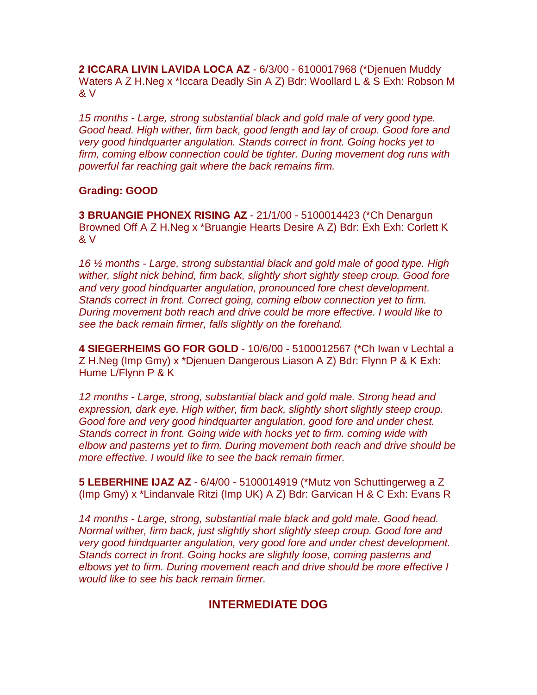**2 ICCARA LIVIN LAVIDA LOCA AZ** - 6/3/00 - 6100017968 (\*Djenuen Muddy Waters A Z H.Neg x \*Iccara Deadly Sin A Z) Bdr: Woollard L & S Exh: Robson M & V

*15 months - Large, strong substantial black and gold male of very good type. Good head. High wither, firm back, good length and lay of croup. Good fore and very good hindquarter angulation. Stands correct in front. Going hocks yet to firm, coming elbow connection could be tighter. During movement dog runs with powerful far reaching gait where the back remains firm.*

## **Grading: GOOD**

**3 BRUANGIE PHONEX RISING AZ** - 21/1/00 - 5100014423 (\*Ch Denargun Browned Off A Z H.Neg x \*Bruangie Hearts Desire A Z) Bdr: Exh Exh: Corlett K & V

*16 ½ months - Large, strong substantial black and gold male of good type. High wither, slight nick behind, firm back, slightly short sightly steep croup. Good fore and very good hindquarter angulation, pronounced fore chest development. Stands correct in front. Correct going, coming elbow connection yet to firm. During movement both reach and drive could be more effective. I would like to see the back remain firmer, falls slightly on the forehand.*

**4 SIEGERHEIMS GO FOR GOLD** - 10/6/00 - 5100012567 (\*Ch Iwan v Lechtal a Z H.Neg (Imp Gmy) x \*Djenuen Dangerous Liason A Z) Bdr: Flynn P & K Exh: Hume L/Flynn P & K

*12 months - Large, strong, substantial black and gold male. Strong head and expression, dark eye. High wither, firm back, slightly short slightly steep croup. Good fore and very good hindquarter angulation, good fore and under chest. Stands correct in front. Going wide with hocks yet to firm. coming wide with elbow and pasterns yet to firm. During movement both reach and drive should be more effective. I would like to see the back remain firmer.*

**5 LEBERHINE IJAZ AZ** - 6/4/00 - 5100014919 (\*Mutz von Schuttingerweg a Z (Imp Gmy) x \*Lindanvale Ritzi (Imp UK) A Z) Bdr: Garvican H & C Exh: Evans R

*14 months - Large, strong, substantial male black and gold male. Good head. Normal wither, firm back, just slightly short slightly steep croup. Good fore and very good hindquarter angulation, very good fore and under chest development. Stands correct in front. Going hocks are slightly loose, coming pasterns and elbows yet to firm. During movement reach and drive should be more effective I would like to see his back remain firmer.*

# **INTERMEDIATE DOG**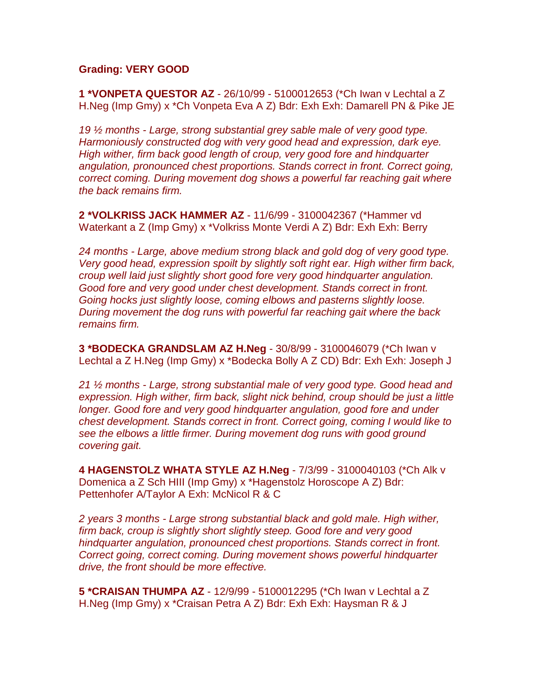#### **Grading: VERY GOOD**

**1 \*VONPETA QUESTOR AZ** - 26/10/99 - 5100012653 (\*Ch Iwan v Lechtal a Z H.Neg (Imp Gmy) x \*Ch Vonpeta Eva A Z) Bdr: Exh Exh: Damarell PN & Pike JE

*19 ½ months - Large, strong substantial grey sable male of very good type. Harmoniously constructed dog with very good head and expression, dark eye. High wither, firm back good length of croup, very good fore and hindquarter angulation, pronounced chest proportions. Stands correct in front. Correct going, correct coming. During movement dog shows a powerful far reaching gait where the back remains firm.*

**2 \*VOLKRISS JACK HAMMER AZ** - 11/6/99 - 3100042367 (\*Hammer vd Waterkant a Z (Imp Gmy) x \*Volkriss Monte Verdi A Z) Bdr: Exh Exh: Berry

*24 months - Large, above medium strong black and gold dog of very good type. Very good head, expression spoilt by slightly soft right ear. High wither firm back, croup well laid just slightly short good fore very good hindquarter angulation. Good fore and very good under chest development. Stands correct in front. Going hocks just slightly loose, coming elbows and pasterns slightly loose. During movement the dog runs with powerful far reaching gait where the back remains firm.*

**3 \*BODECKA GRANDSLAM AZ H.Neg** - 30/8/99 - 3100046079 (\*Ch Iwan v Lechtal a Z H.Neg (Imp Gmy) x \*Bodecka Bolly A Z CD) Bdr: Exh Exh: Joseph J

*21 ½ months - Large, strong substantial male of very good type. Good head and expression. High wither, firm back, slight nick behind, croup should be just a little longer. Good fore and very good hindquarter angulation, good fore and under chest development. Stands correct in front. Correct going, coming I would like to see the elbows a little firmer. During movement dog runs with good ground covering gait.*

**4 HAGENSTOLZ WHATA STYLE AZ H.Neg** - 7/3/99 - 3100040103 (\*Ch Alk v Domenica a Z Sch HIII (Imp Gmy) x \*Hagenstolz Horoscope A Z) Bdr: Pettenhofer A/Taylor A Exh: McNicol R & C

*2 years 3 months - Large strong substantial black and gold male. High wither, firm back, croup is slightly short slightly steep. Good fore and very good hindquarter angulation, pronounced chest proportions. Stands correct in front. Correct going, correct coming. During movement shows powerful hindquarter drive, the front should be more effective.*

**5 \*CRAISAN THUMPA AZ** - 12/9/99 - 5100012295 (\*Ch Iwan v Lechtal a Z H.Neg (Imp Gmy) x \*Craisan Petra A Z) Bdr: Exh Exh: Haysman R & J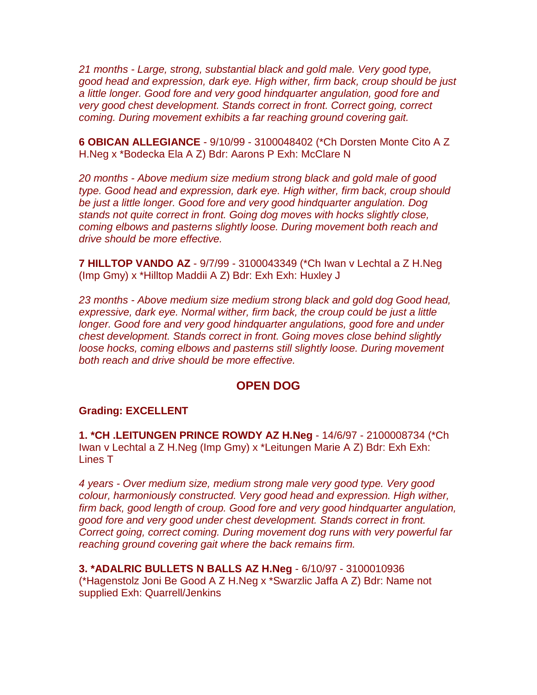*21 months - Large, strong, substantial black and gold male. Very good type, good head and expression, dark eye. High wither, firm back, croup should be just a little longer. Good fore and very good hindquarter angulation, good fore and very good chest development. Stands correct in front. Correct going, correct coming. During movement exhibits a far reaching ground covering gait.*

**6 OBICAN ALLEGIANCE** - 9/10/99 - 3100048402 (\*Ch Dorsten Monte Cito A Z H.Neg x \*Bodecka Ela A Z) Bdr: Aarons P Exh: McClare N

*20 months - Above medium size medium strong black and gold male of good type. Good head and expression, dark eye. High wither, firm back, croup should be just a little longer. Good fore and very good hindquarter angulation. Dog stands not quite correct in front. Going dog moves with hocks slightly close, coming elbows and pasterns slightly loose. During movement both reach and drive should be more effective.*

**7 HILLTOP VANDO AZ** - 9/7/99 - 3100043349 (\*Ch Iwan v Lechtal a Z H.Neg (Imp Gmy) x \*Hilltop Maddii A Z) Bdr: Exh Exh: Huxley J

*23 months - Above medium size medium strong black and gold dog Good head, expressive, dark eye. Normal wither, firm back, the croup could be just a little longer. Good fore and very good hindquarter angulations, good fore and under chest development. Stands correct in front. Going moves close behind slightly loose hocks, coming elbows and pasterns still slightly loose. During movement both reach and drive should be more effective.*

## **OPEN DOG**

#### **Grading: EXCELLENT**

**1. \*CH .LEITUNGEN PRINCE ROWDY AZ H.Neg** - 14/6/97 - 2100008734 (\*Ch Iwan v Lechtal a Z H.Neg (Imp Gmy) x \*Leitungen Marie A Z) Bdr: Exh Exh: Lines T

*4 years - Over medium size, medium strong male very good type. Very good colour, harmoniously constructed. Very good head and expression. High wither, firm back, good length of croup. Good fore and very good hindquarter angulation, good fore and very good under chest development. Stands correct in front. Correct going, correct coming. During movement dog runs with very powerful far reaching ground covering gait where the back remains firm.*

**3. \*ADALRIC BULLETS N BALLS AZ H.Neg** - 6/10/97 - 3100010936 (\*Hagenstolz Joni Be Good A Z H.Neg x \*Swarzlic Jaffa A Z) Bdr: Name not supplied Exh: Quarrell/Jenkins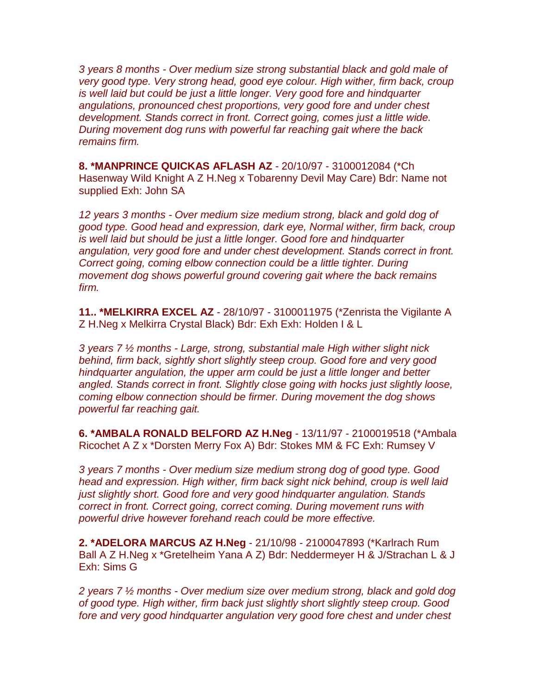*3 years 8 months - Over medium size strong substantial black and gold male of very good type. Very strong head, good eye colour. High wither, firm back, croup is well laid but could be just a little longer. Very good fore and hindquarter angulations, pronounced chest proportions, very good fore and under chest development. Stands correct in front. Correct going, comes just a little wide. During movement dog runs with powerful far reaching gait where the back remains firm.*

**8. \*MANPRINCE QUICKAS AFLASH AZ** - 20/10/97 - 3100012084 (\*Ch Hasenway Wild Knight A Z H.Neg x Tobarenny Devil May Care) Bdr: Name not supplied Exh: John SA

*12 years 3 months - Over medium size medium strong, black and gold dog of good type. Good head and expression, dark eye, Normal wither, firm back, croup is well laid but should be just a little longer. Good fore and hindquarter angulation, very good fore and under chest development. Stands correct in front. Correct going, coming elbow connection could be a little tighter. During movement dog shows powerful ground covering gait where the back remains firm.*

**11.. \*MELKIRRA EXCEL AZ** - 28/10/97 - 3100011975 (\*Zenrista the Vigilante A Z H.Neg x Melkirra Crystal Black) Bdr: Exh Exh: Holden I & L

*3 years 7 ½ months - Large, strong, substantial male High wither slight nick behind, firm back, sightly short slightly steep croup. Good fore and very good hindquarter angulation, the upper arm could be just a little longer and better angled. Stands correct in front. Slightly close going with hocks just slightly loose, coming elbow connection should be firmer. During movement the dog shows powerful far reaching gait.*

**6. \*AMBALA RONALD BELFORD AZ H.Neg** - 13/11/97 - 2100019518 (\*Ambala Ricochet A Z x \*Dorsten Merry Fox A) Bdr: Stokes MM & FC Exh: Rumsey V

*3 years 7 months - Over medium size medium strong dog of good type. Good head and expression. High wither, firm back sight nick behind, croup is well laid just slightly short. Good fore and very good hindquarter angulation. Stands correct in front. Correct going, correct coming. During movement runs with powerful drive however forehand reach could be more effective.*

**2. \*ADELORA MARCUS AZ H.Neg** - 21/10/98 - 2100047893 (\*Karlrach Rum Ball A Z H.Neg x \*Gretelheim Yana A Z) Bdr: Neddermeyer H & J/Strachan L & J Exh: Sims G

*2 years 7 ½ months - Over medium size over medium strong, black and gold dog of good type. High wither, firm back just slightly short slightly steep croup. Good fore and very good hindquarter angulation very good fore chest and under chest*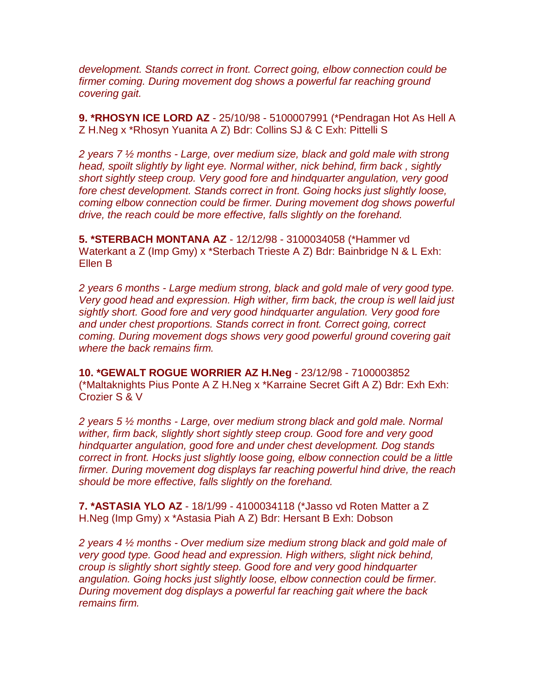*development. Stands correct in front. Correct going, elbow connection could be firmer coming. During movement dog shows a powerful far reaching ground covering gait.*

**9. \*RHOSYN ICE LORD AZ** - 25/10/98 - 5100007991 (\*Pendragan Hot As Hell A Z H.Neg x \*Rhosyn Yuanita A Z) Bdr: Collins SJ & C Exh: Pittelli S

*2 years 7 ½ months - Large, over medium size, black and gold male with strong head, spoilt slightly by light eye. Normal wither, nick behind, firm back , sightly short sightly steep croup. Very good fore and hindquarter angulation, very good fore chest development. Stands correct in front. Going hocks just slightly loose, coming elbow connection could be firmer. During movement dog shows powerful drive, the reach could be more effective, falls slightly on the forehand.*

**5. \*STERBACH MONTANA AZ** - 12/12/98 - 3100034058 (\*Hammer vd Waterkant a Z (Imp Gmy) x \*Sterbach Trieste A Z) Bdr: Bainbridge N & L Exh: Ellen B

*2 years 6 months - Large medium strong, black and gold male of very good type. Very good head and expression. High wither, firm back, the croup is well laid just sightly short. Good fore and very good hindquarter angulation. Very good fore and under chest proportions. Stands correct in front. Correct going, correct coming. During movement dogs shows very good powerful ground covering gait where the back remains firm.*

**10. \*GEWALT ROGUE WORRIER AZ H.Neg** - 23/12/98 - 7100003852 (\*Maltaknights Pius Ponte A Z H.Neg x \*Karraine Secret Gift A Z) Bdr: Exh Exh: Crozier S & V

*2 years 5 ½ months - Large, over medium strong black and gold male. Normal wither, firm back, slightly short sightly steep croup. Good fore and very good hindquarter angulation, good fore and under chest development. Dog stands correct in front. Hocks just slightly loose going, elbow connection could be a little firmer. During movement dog displays far reaching powerful hind drive, the reach should be more effective, falls slightly on the forehand.*

**7. \*ASTASIA YLO AZ** - 18/1/99 - 4100034118 (\*Jasso vd Roten Matter a Z H.Neg (Imp Gmy) x \*Astasia Piah A Z) Bdr: Hersant B Exh: Dobson

*2 years 4 ½ months - Over medium size medium strong black and gold male of very good type. Good head and expression. High withers, slight nick behind, croup is slightly short sightly steep. Good fore and very good hindquarter angulation. Going hocks just slightly loose, elbow connection could be firmer. During movement dog displays a powerful far reaching gait where the back remains firm.*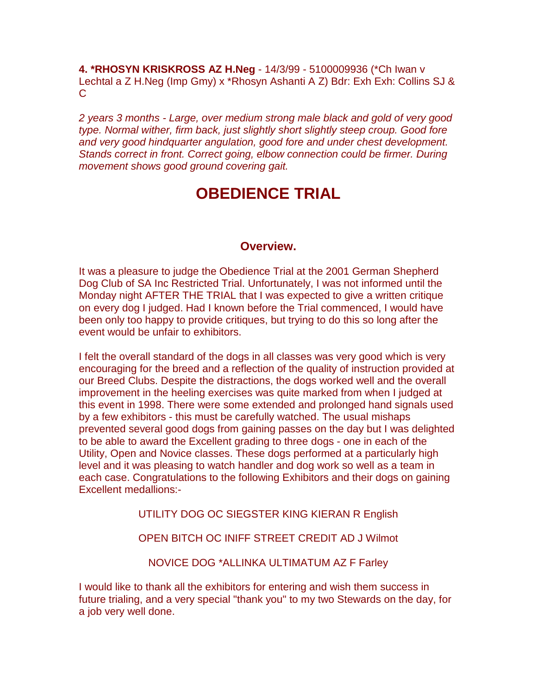**4. \*RHOSYN KRISKROSS AZ H.Neg** - 14/3/99 - 5100009936 (\*Ch Iwan v Lechtal a Z H.Neg (Imp Gmy) x \*Rhosyn Ashanti A Z) Bdr: Exh Exh: Collins SJ &  $\mathsf{C}$ 

*2 years 3 months - Large, over medium strong male black and gold of very good type. Normal wither, firm back, just slightly short slightly steep croup. Good fore and very good hindquarter angulation, good fore and under chest development. Stands correct in front. Correct going, elbow connection could be firmer. During movement shows good ground covering gait.*

# **OBEDIENCE TRIAL**

## **Overview.**

It was a pleasure to judge the Obedience Trial at the 2001 German Shepherd Dog Club of SA Inc Restricted Trial. Unfortunately, I was not informed until the Monday night AFTER THE TRIAL that I was expected to give a written critique on every dog I judged. Had I known before the Trial commenced, I would have been only too happy to provide critiques, but trying to do this so long after the event would be unfair to exhibitors.

I felt the overall standard of the dogs in all classes was very good which is very encouraging for the breed and a reflection of the quality of instruction provided at our Breed Clubs. Despite the distractions, the dogs worked well and the overall improvement in the heeling exercises was quite marked from when I judged at this event in 1998. There were some extended and prolonged hand signals used by a few exhibitors - this must be carefully watched. The usual mishaps prevented several good dogs from gaining passes on the day but I was delighted to be able to award the Excellent grading to three dogs - one in each of the Utility, Open and Novice classes. These dogs performed at a particularly high level and it was pleasing to watch handler and dog work so well as a team in each case. Congratulations to the following Exhibitors and their dogs on gaining Excellent medallions:-

## UTILITY DOG OC SIEGSTER KING KIERAN R English

## OPEN BITCH OC INIFF STREET CREDIT AD J Wilmot

NOVICE DOG \*ALLINKA ULTIMATUM AZ F Farley

I would like to thank all the exhibitors for entering and wish them success in future trialing, and a very special "thank you" to my two Stewards on the day, for a job very well done.